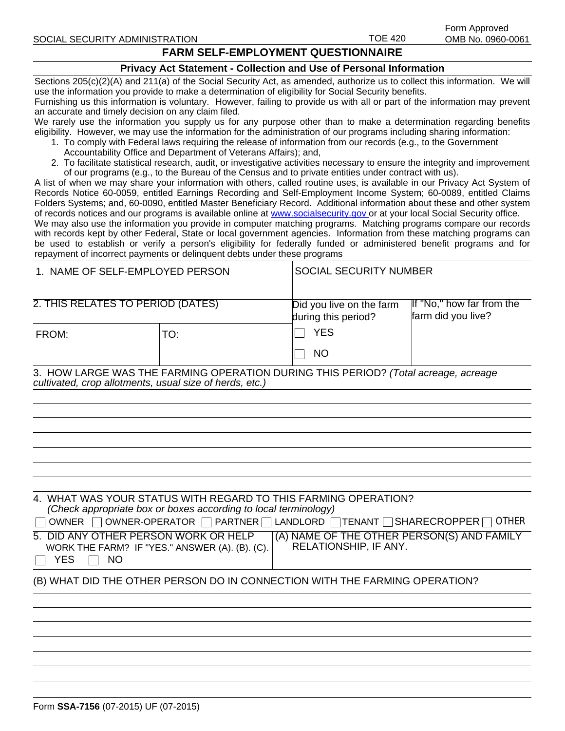## **FARM SELF-EMPLOYMENT QUESTIONNAIRE**

## **Privacy Act Statement - Collection and Use of Personal Information**

Sections 205(c)(2)(A) and 211(a) of the Social Security Act, as amended, authorize us to collect this information. We will use the information you provide to make a determination of eligibility for Social Security benefits.

Furnishing us this information is voluntary. However, failing to provide us with all or part of the information may prevent an accurate and timely decision on any claim filed.

We rarely use the information you supply us for any purpose other than to make a determination regarding benefits eligibility. However, we may use the information for the administration of our programs including sharing information:

- 1. To comply with Federal laws requiring the release of information from our records (e.g., to the Government
	- Accountability Office and Department of Veterans Affairs); and,
- 2. To facilitate statistical research, audit, or investigative activities necessary to ensure the integrity and improvement of our programs (e.g., to the Bureau of the Census and to private entities under contract with us).

A list of when we may share your information with others, called routine uses, is available in our Privacy Act System of Records Notice 60-0059, entitled Earnings Recording and Self-Employment Income System; 60-0089, entitled Claims Folders Systems; and, 60-0090, entitled Master Beneficiary Record. Additional information about these and other system of records notices and our programs is available online at [www.socialsecurity.gov o](www.socialsecurity.gov)r at your local Social Security office. We may also use the information you provide in computer matching programs. Matching programs compare our records with records kept by other Federal, State or local government agencies. Information from these matching programs can be used to establish or verify a person's eligibility for federally funded or administered benefit programs and for repayment of incorrect payments or delinquent debts under these programs

| 1. NAME OF SELF-EMPLOYED PERSON                            |                                                                                                                                                                                                                                                       | <b>SOCIAL SECURITY NUMBER</b>                                       |                                                 |  |
|------------------------------------------------------------|-------------------------------------------------------------------------------------------------------------------------------------------------------------------------------------------------------------------------------------------------------|---------------------------------------------------------------------|-------------------------------------------------|--|
| 2. THIS RELATES TO PERIOD (DATES)                          |                                                                                                                                                                                                                                                       | Did you live on the farm<br>during this period?                     | If "No," how far from the<br>farm did you live? |  |
| FROM:                                                      | TO:                                                                                                                                                                                                                                                   | <b>YES</b>                                                          |                                                 |  |
|                                                            |                                                                                                                                                                                                                                                       | <b>NO</b>                                                           |                                                 |  |
| cultivated, crop allotments, usual size of herds, etc.)    | 3. HOW LARGE WAS THE FARMING OPERATION DURING THIS PERIOD? (Total acreage, acreage                                                                                                                                                                    |                                                                     |                                                 |  |
|                                                            |                                                                                                                                                                                                                                                       |                                                                     |                                                 |  |
|                                                            |                                                                                                                                                                                                                                                       |                                                                     |                                                 |  |
|                                                            |                                                                                                                                                                                                                                                       |                                                                     |                                                 |  |
|                                                            |                                                                                                                                                                                                                                                       |                                                                     |                                                 |  |
|                                                            |                                                                                                                                                                                                                                                       |                                                                     |                                                 |  |
|                                                            |                                                                                                                                                                                                                                                       |                                                                     |                                                 |  |
|                                                            | 4. WHAT WAS YOUR STATUS WITH REGARD TO THIS FARMING OPERATION?<br>(Check appropriate box or boxes according to local terminology)<br>$\Box$ OWNER $\Box$ OWNER-OPERATOR $\Box$ PARTNER $\Box$ LANDLORD $\Box$ TENANT $\Box$ SHARECROPPER $\Box$ OTHER |                                                                     |                                                 |  |
| 5. DID ANY OTHER PERSON WORK OR HELP<br>YES  <br><b>NO</b> | WORK THE FARM? IF "YES." ANSWER (A). (B). (C).                                                                                                                                                                                                        | (A) NAME OF THE OTHER PERSON(S) AND FAMILY<br>RELATIONSHIP, IF ANY. |                                                 |  |
|                                                            | (B) WHAT DID THE OTHER PERSON DO IN CONNECTION WITH THE FARMING OPERATION?                                                                                                                                                                            |                                                                     |                                                 |  |
|                                                            |                                                                                                                                                                                                                                                       |                                                                     |                                                 |  |
|                                                            |                                                                                                                                                                                                                                                       |                                                                     |                                                 |  |
|                                                            |                                                                                                                                                                                                                                                       |                                                                     |                                                 |  |
|                                                            |                                                                                                                                                                                                                                                       |                                                                     |                                                 |  |
|                                                            |                                                                                                                                                                                                                                                       |                                                                     |                                                 |  |
|                                                            |                                                                                                                                                                                                                                                       |                                                                     |                                                 |  |